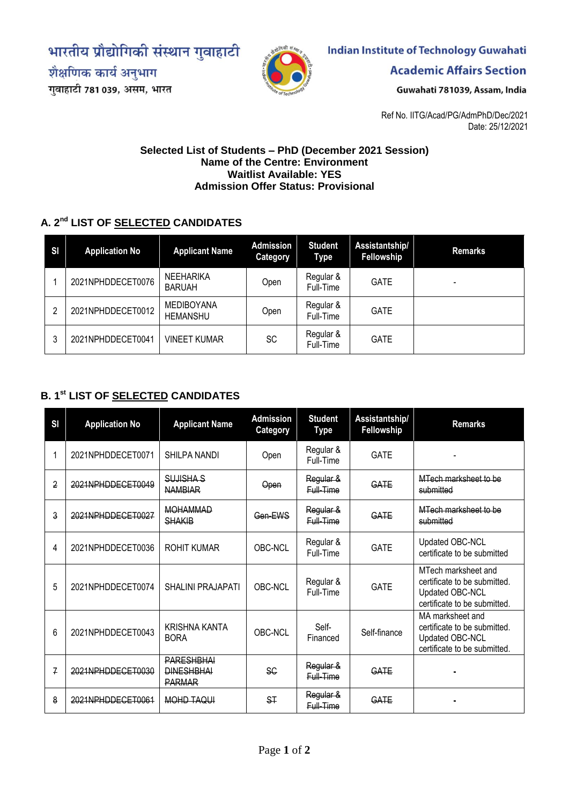भारतीय प्रौद्योगिकी संस्थान गुवाहाटी

शैक्षणिक कार्य अनुभाग गुवाहाटी 781 039, असम, भारत



# **Indian Institute of Technology Guwahati**

**Academic Affairs Section** 

Guwahati 781039, Assam, India

Ref No. IITG/Acad/PG/AdmPhD/Dec/2021 Date: 25/12/2021

#### **Selected List of Students – PhD (December 2021 Session) Name of the Centre: Environment Waitlist Available: YES Admission Offer Status: Provisional**

### **A. 2 nd LIST OF SELECTED CANDIDATES**

| SI | <b>Application No</b> | <b>Applicant Name</b>                | <b>Admission</b><br><b>Category</b> | <b>Student</b><br>Type | Assistantship/<br><b>Fellowship</b> | <b>Remarks</b> |
|----|-----------------------|--------------------------------------|-------------------------------------|------------------------|-------------------------------------|----------------|
|    | 2021NPHDDECET0076     | <b>NEEHARIKA</b><br>BARUAH           | Open                                | Regular &<br>Full-Time | <b>GATE</b>                         |                |
| 2  | 2021NPHDDECET0012     | <b>MEDIBOYANA</b><br><b>HEMANSHU</b> | Open                                | Regular &<br>Full-Time | <b>GATE</b>                         |                |
| 3  | 2021NPHDDECET0041     | <b>VINEET KUMAR</b>                  | <b>SC</b>                           | Regular &<br>Full-Time | <b>GATE</b>                         |                |

## **B. 1 st LIST OF SELECTED CANDIDATES**

| SI | <b>Application No</b> | <b>Applicant Name</b>                                   | <b>Admission</b><br>Category | <b>Student</b><br>Type | Assistantship/<br>Fellowship | <b>Remarks</b>                                                                                         |
|----|-----------------------|---------------------------------------------------------|------------------------------|------------------------|------------------------------|--------------------------------------------------------------------------------------------------------|
|    | 2021NPHDDECET0071     | SHILPA NANDI                                            | Open                         | Regular &<br>Full-Time | <b>GATE</b>                  |                                                                                                        |
| 2  | 2021NPHDDECET0049     | SUJISHA S<br><b>NAMBIAR</b>                             | <b>Open</b>                  | Regular &<br>Full-Time | GATE                         | MTech marksheet to be<br>submitted                                                                     |
| 3  | 2021NPHDDECET0027     | <b>MOHAMMAD</b><br><b>SHAKIB</b>                        | Gen-EWS                      | Regular &<br>Full-Time | GATE                         | MTech marksheet to be<br>submitted                                                                     |
| 4  | 2021NPHDDECET0036     | <b>ROHIT KUMAR</b>                                      | <b>OBC-NCL</b>               | Regular &<br>Full-Time | <b>GATE</b>                  | Updated OBC-NCL<br>certificate to be submitted                                                         |
| 5  | 2021NPHDDECET0074     | <b>SHALINI PRAJAPATI</b>                                | OBC-NCL                      | Regular &<br>Full-Time | <b>GATE</b>                  | MTech marksheet and<br>certificate to be submitted.<br>Updated OBC-NCL<br>certificate to be submitted. |
| 6  | 2021NPHDDECET0043     | <b>KRISHNA KANTA</b><br><b>BORA</b>                     | OBC-NCL                      | Self-<br>Financed      | Self-finance                 | MA marksheet and<br>certificate to be submitted.<br>Updated OBC-NCL<br>certificate to be submitted.    |
| 7  | 2021NPHDDECET0030     | <b>PARESHBHAI</b><br><b>DINESHBHAI</b><br><b>PARMAR</b> | <b>SG</b>                    | Regular &<br>Eull-Time | GATE                         |                                                                                                        |
| 8  | 2021NPHDDECET0061     | MOHD TAQUI                                              | <b>ST</b>                    | Regular &<br>Full-Time | GATE                         |                                                                                                        |